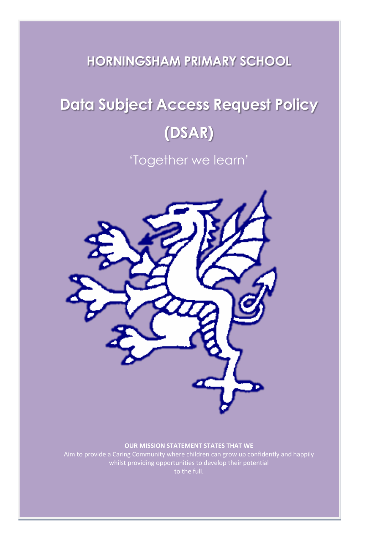# **HORNINGSHAM PRIMARY SCHOOL**

# **Data Subject Access Request Policy (DSAR)**

'Together we learn'



#### **OUR MISSION STATEMENT STATES THAT WE**

Aim to provide a Caring Community where children can grow up confidently and happily whilst providing opportunities to develop their potential to the full.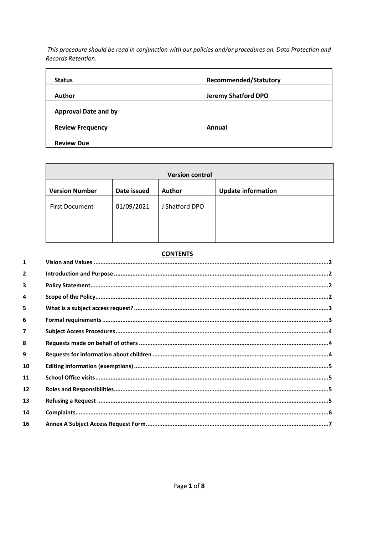This procedure should be read in conjunction with our policies and/or procedures on, Data Protection and Records Retention.

| <b>Status</b>               | <b>Recommended/Statutory</b> |
|-----------------------------|------------------------------|
| <b>Author</b>               | <b>Jeremy Shatford DPO</b>   |
| <b>Approval Date and by</b> |                              |
| <b>Review Frequency</b>     | Annual                       |
| <b>Review Due</b>           |                              |

| <b>Version control</b> |             |                |                           |
|------------------------|-------------|----------------|---------------------------|
| <b>Version Number</b>  | Date issued | <b>Author</b>  | <b>Update information</b> |
| <b>First Document</b>  | 01/09/2021  | J Shatford DPO |                           |
|                        |             |                |                           |
|                        |             |                |                           |

# **CONTENTS**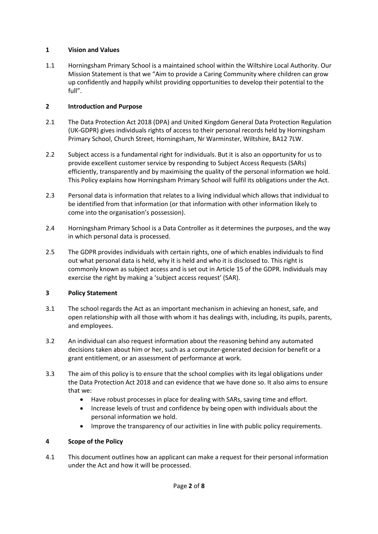## <span id="page-2-0"></span>**1 Vision and Values**

1.1 Horningsham Primary School is a maintained school within the Wiltshire Local Authority. Our Mission Statement is that we "Aim to provide a Caring Community where children can grow up confidently and happily whilst providing opportunities to develop their potential to the full".

# <span id="page-2-1"></span>**2 Introduction and Purpose**

- 2.1 The Data Protection Act 2018 (DPA) and United Kingdom General Data Protection Regulation (UK-GDPR) gives individuals rights of access to their personal records held by Horningsham Primary School, Church Street, Horningsham, Nr Warminster, Wiltshire, BA12 7LW.
- 2.2 Subject access is a fundamental right for individuals. But it is also an opportunity for us to provide excellent customer service by responding to Subject Access Requests (SARs) efficiently, transparently and by maximising the quality of the personal information we hold. This Policy explains how Horningsham Primary School will fulfil its obligations under the Act.
- 2.3 Personal data is information that relates to a living individual which allows that individual to be identified from that information (or that information with other information likely to come into the organisation's possession).
- 2.4 Horningsham Primary School is a Data Controller as it determines the purposes, and the way in which personal data is processed.
- 2.5 The GDPR provides individuals with certain rights, one of which enables individuals to find out what personal data is held, why it is held and who it is disclosed to. This right is commonly known as subject access and is set out in Article 15 of the GDPR. Individuals may exercise the right by making a 'subject access request' (SAR).

# <span id="page-2-2"></span>**3 Policy Statement**

- 3.1 The school regards the Act as an important mechanism in achieving an honest, safe, and open relationship with all those with whom it has dealings with, including, its pupils, parents, and employees.
- 3.2 An individual can also request information about the reasoning behind any automated decisions taken about him or her, such as a computer-generated decision for benefit or a grant entitlement, or an assessment of performance at work.
- 3.3 The aim of this policy is to ensure that the school complies with its legal obligations under the Data Protection Act 2018 and can evidence that we have done so. It also aims to ensure that we:
	- Have robust processes in place for dealing with SARs, saving time and effort.
	- Increase levels of trust and confidence by being open with individuals about the personal information we hold.
	- Improve the transparency of our activities in line with public policy requirements.

# <span id="page-2-3"></span>**4 Scope of the Policy**

4.1 This document outlines how an applicant can make a request for their personal information under the Act and how it will be processed.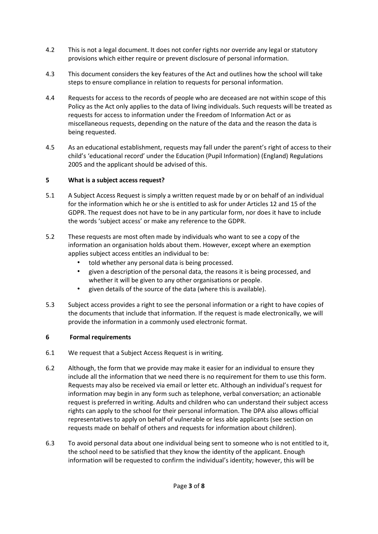- 4.2 This is not a legal document. It does not confer rights nor override any legal or statutory provisions which either require or prevent disclosure of personal information.
- 4.3 This document considers the key features of the Act and outlines how the school will take steps to ensure compliance in relation to requests for personal information.
- 4.4 Requests for access to the records of people who are deceased are not within scope of this Policy as the Act only applies to the data of living individuals. Such requests will be treated as requests for access to information under the Freedom of Information Act or as miscellaneous requests, depending on the nature of the data and the reason the data is being requested.
- 4.5 As an educational establishment, requests may fall under the parent's right of access to their child's 'educational record' under the Education (Pupil Information) (England) Regulations 2005 and the applicant should be advised of this.

#### <span id="page-3-0"></span>**5 What is a subject access request?**

- 5.1 A Subject Access Request is simply a written request made by or on behalf of an individual for the information which he or she is entitled to ask for under Articles 12 and 15 of the GDPR. The request does not have to be in any particular form, nor does it have to include the words 'subject access' or make any reference to the GDPR.
- 5.2 These requests are most often made by individuals who want to see a copy of the information an organisation holds about them. However, except where an exemption applies subject access entitles an individual to be:
	- told whether any personal data is being processed.
	- given a description of the personal data, the reasons it is being processed, and whether it will be given to any other organisations or people.
	- given details of the source of the data (where this is available).
- 5.3 Subject access provides a right to see the personal information or a right to have copies of the documents that include that information. If the request is made electronically, we will provide the information in a commonly used electronic format.

#### <span id="page-3-1"></span>**6 Formal requirements**

- 6.1 We request that a Subject Access Request is in writing.
- 6.2 Although, the form that we provide may make it easier for an individual to ensure they include all the information that we need there is no requirement for them to use this form. Requests may also be received via email or letter etc. Although an individual's request for information may begin in any form such as telephone, verbal conversation; an actionable request is preferred in writing. Adults and children who can understand their subject access rights can apply to the school for their personal information. The DPA also allows official representatives to apply on behalf of vulnerable or less able applicants (see section on requests made on behalf of others and requests for information about children).
- 6.3 To avoid personal data about one individual being sent to someone who is not entitled to it, the school need to be satisfied that they know the identity of the applicant. Enough information will be requested to confirm the individual's identity; however, this will be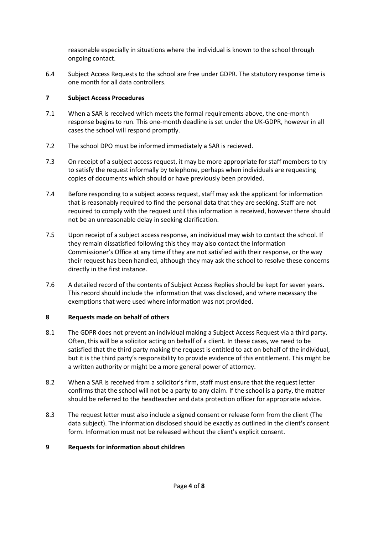reasonable especially in situations where the individual is known to the school through ongoing contact.

6.4 Subject Access Requests to the school are free under GDPR. The statutory response time is one month for all data controllers.

#### <span id="page-4-0"></span>**7 Subject Access Procedures**

- 7.1 When a SAR is received which meets the formal requirements above, the one-month response begins to run. This one-month deadline is set under the UK-GDPR, however in all cases the school will respond promptly.
- 7.2 The school DPO must be informed immediately a SAR is recieved.
- 7.3 On receipt of a subject access request, it may be more appropriate for staff members to try to satisfy the request informally by telephone, perhaps when individuals are requesting copies of documents which should or have previously been provided.
- 7.4 Before responding to a subject access request, staff may ask the applicant for information that is reasonably required to find the personal data that they are seeking. Staff are not required to comply with the request until this information is received, however there should not be an unreasonable delay in seeking clarification.
- 7.5 Upon receipt of a subject access response, an individual may wish to contact the school. If they remain dissatisfied following this they may also contact the Information Commissioner's Office at any time if they are not satisfied with their response, or the way their request has been handled, although they may ask the school to resolve these concerns directly in the first instance.
- 7.6 A detailed record of the contents of Subject Access Replies should be kept for seven years. This record should include the information that was disclosed, and where necessary the exemptions that were used where information was not provided.

#### <span id="page-4-1"></span>**8 Requests made on behalf of others**

- 8.1 The GDPR does not prevent an individual making a Subject Access Request via a third party. Often, this will be a solicitor acting on behalf of a client. In these cases, we need to be satisfied that the third party making the request is entitled to act on behalf of the individual, but it is the third party's responsibility to provide evidence of this entitlement. This might be a written authority or might be a more general power of attorney.
- 8.2 When a SAR is received from a solicitor's firm, staff must ensure that the request letter confirms that the school will not be a party to any claim. If the school is a party, the matter should be referred to the headteacher and data protection officer for appropriate advice.
- 8.3 The request letter must also include a signed consent or release form from the client (The data subject). The information disclosed should be exactly as outlined in the client's consent form. Information must not be released without the client's explicit consent.

#### <span id="page-4-2"></span>**9 Requests for information about children**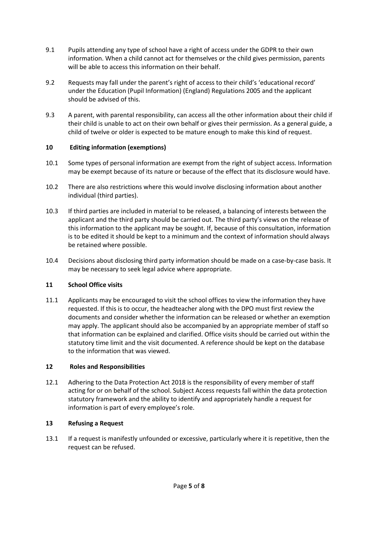- 9.1 Pupils attending any type of school have a right of access under the GDPR to their own information. When a child cannot act for themselves or the child gives permission, parents will be able to access this information on their behalf.
- 9.2 Requests may fall under the parent's right of access to their child's 'educational record' under the Education (Pupil Information) (England) Regulations 2005 and the applicant should be advised of this.
- 9.3 A parent, with parental responsibility, can access all the other information about their child if their child is unable to act on their own behalf or gives their permission. As a general guide, a child of twelve or older is expected to be mature enough to make this kind of request.

## <span id="page-5-0"></span>**10 Editing information (exemptions)**

- 10.1 Some types of personal information are exempt from the right of subject access. Information may be exempt because of its nature or because of the effect that its disclosure would have.
- 10.2 There are also restrictions where this would involve disclosing information about another individual (third parties).
- 10.3 If third parties are included in material to be released, a balancing of interests between the applicant and the third party should be carried out. The third party's views on the release of this information to the applicant may be sought. If, because of this consultation, information is to be edited it should be kept to a minimum and the context of information should always be retained where possible.
- 10.4 Decisions about disclosing third party information should be made on a case-by-case basis. It may be necessary to seek legal advice where appropriate.

# <span id="page-5-1"></span>**11 School Office visits**

11.1 Applicants may be encouraged to visit the school offices to view the information they have requested. If this is to occur, the headteacher along with the DPO must first review the documents and consider whether the information can be released or whether an exemption may apply. The applicant should also be accompanied by an appropriate member of staff so that information can be explained and clarified. Office visits should be carried out within the statutory time limit and the visit documented. A reference should be kept on the database to the information that was viewed.

#### <span id="page-5-2"></span>**12 Roles and Responsibilities**

12.1 Adhering to the Data Protection Act 2018 is the responsibility of every member of staff acting for or on behalf of the school. Subject Access requests fall within the data protection statutory framework and the ability to identify and appropriately handle a request for information is part of every employee's role.

#### <span id="page-5-3"></span>**13 Refusing a Request**

13.1 If a request is manifestly unfounded or excessive, particularly where it is repetitive, then the request can be refused.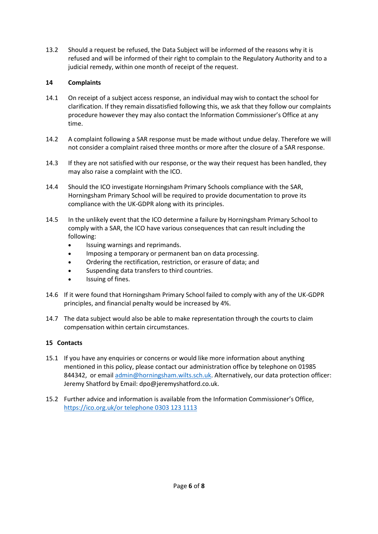13.2 Should a request be refused, the Data Subject will be informed of the reasons why it is refused and will be informed of their right to complain to the Regulatory Authority and to a judicial remedy, within one month of receipt of the request.

# <span id="page-6-0"></span>**14 Complaints**

- 14.1 On receipt of a subject access response, an individual may wish to contact the school for clarification. If they remain dissatisfied following this, we ask that they follow our complaints procedure however they may also contact the Information Commissioner's Office at any time.
- 14.2 A complaint following a SAR response must be made without undue delay. Therefore we will not consider a complaint raised three months or more after the closure of a SAR response.
- 14.3 If they are not satisfied with our response, or the way their request has been handled, they may also raise a complaint with the ICO.
- 14.4 Should the ICO investigate Horningsham Primary Schools compliance with the SAR, Horningsham Primary School will be required to provide documentation to prove its compliance with the UK-GDPR along with its principles.
- 14.5 In the unlikely event that the ICO determine a failure by Horningsham Primary School to comply with a SAR, the ICO have various consequences that can result including the following:
	- Issuing warnings and reprimands.
	- Imposing a temporary or permanent ban on data processing.
	- Ordering the rectification, restriction, or erasure of data; and
	- Suspending data transfers to third countries.
	- Issuing of fines.
- 14.6 If it were found that Horningsham Primary School failed to comply with any of the UK-GDPR principles, and financial penalty would be increased by 4%.
- 14.7 The data subject would also be able to make representation through the courts to claim compensation within certain circumstances.

#### **15 Contacts**

- 15.1 If you have any enquiries or concerns or would like more information about anything mentioned in this policy, please contact our administration office by telephone on 01985 844342, or email [admin@horningsham.wilts.sch.uk.](mailto:admin@horningsham.wilts.sch.uk) Alternatively, our data protection officer: Jeremy Shatford by Email: dpo@jeremyshatford.co.uk.
- 15.2 Further advice and information is available from the Information Commissioner's Office, [https://ico.org.uk/or telephone 0303 123 1113](https://ico.org.uk/or%20telephone%200303%20123%201113)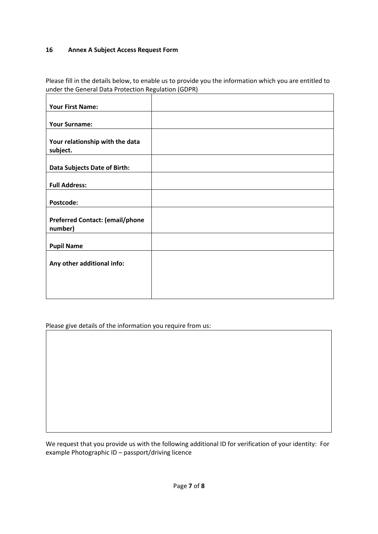#### <span id="page-7-0"></span>**16 Annex A Subject Access Request Form**

Please fill in the details below, to enable us to provide you the information which you are entitled to under the General Data Protection Regulation (GDPR)

| <b>Your First Name:</b>                           |  |
|---------------------------------------------------|--|
| <b>Your Surname:</b>                              |  |
|                                                   |  |
| Your relationship with the data<br>subject.       |  |
| Data Subjects Date of Birth:                      |  |
| <b>Full Address:</b>                              |  |
| Postcode:                                         |  |
| <b>Preferred Contact: (email/phone</b><br>number) |  |
| <b>Pupil Name</b>                                 |  |
| Any other additional info:                        |  |
|                                                   |  |
|                                                   |  |

Please give details of the information you require from us:

We request that you provide us with the following additional ID for verification of your identity: For example Photographic ID – passport/driving licence